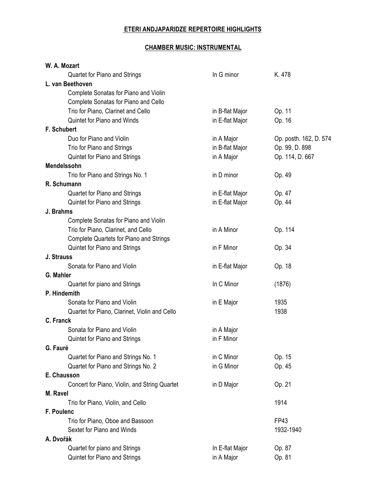## **ETERI ANDJAPARIDZE REPERTOIRE HIGHLIGHTS**

## **CHAMBER MUSIC: INSTRUMENTAL**

| W. A. Mozart                                   |                 |                        |
|------------------------------------------------|-----------------|------------------------|
| Quartet for Piano and Strings                  | In G minor      | K. 478                 |
| L. van Beethoven                               |                 |                        |
| Complete Sonatas for Piano and Violin          |                 |                        |
| Complete Sonatas for Piano and Cello           |                 |                        |
| Trio for Piano, Clarinet and Cello             | in B-flat Major | Op. 11                 |
| Quintet for Piano and Winds                    | in E-flat Major | Op. 16                 |
| F. Schubert                                    |                 |                        |
| Duo for Piano and Violin                       | in A Major      | Op. posth. 162, D. 574 |
| Trio for Piano and Strings                     | in B-flat Major | Op. 99, D. 898         |
| Quintet for Piano and Strings                  | in A Major      | Op. 114, D. 667        |
| Mendelssohn                                    |                 |                        |
| Trio for Piano and Strings No. 1               | in D minor      | Op. 49                 |
| R. Schumann                                    |                 |                        |
| Quartet for Piano and Strings                  | in E-flat Major | Op. 47                 |
| Quintet for Piano and Strings                  | in E-flat Major | Op. 44                 |
| J. Brahms                                      |                 |                        |
| Complete Sonatas for Piano and Violin          |                 |                        |
| Trio for Piano, Clarinet, and Cello            | in A Minor      | Op. 114                |
| <b>Complete Quartets for Piano and Strings</b> |                 |                        |
| Quintet for Piano and Strings                  | in F Minor      | Op. 34                 |
| J. Strauss                                     |                 |                        |
| Sonata for Piano and Violin                    | in E-flat Major | Op. 18                 |
| G. Mahler                                      |                 |                        |
| Quartet for piano and Strings                  | In C Minor      | (1876)                 |
| P. Hindemith                                   |                 |                        |
| Sonata for Piano and Violin                    | in E Major      | 1935                   |
| Quartet for Piano, Clarinet, Violin and Cello  |                 | 1938                   |
| C. Franck                                      |                 |                        |
| Sonata for Piano and Violin                    | in A Major      |                        |
| <b>Quintet for Piano and Strings</b>           | in F Minor      |                        |
| G. Fauré                                       |                 |                        |
| Quartet for Piano and Strings No. 1            | in C Minor      | Op. 15                 |
| Quartet for Piano and Strings No. 2            | in G Minor      | Op. 45                 |
| E. Chausson                                    |                 |                        |
| Concert for Piano, Violin, and String Quartet  | in D Major      | Op. 21                 |
| M. Ravel                                       |                 |                        |
| Trio for Piano, Violin, and Cello              |                 | 1914                   |
| F. Poulenc                                     |                 |                        |
| Trio for Piano, Oboe and Bassoon               |                 | <b>FP43</b>            |
| Sextet for Piano and Winds                     |                 | 1932-1940              |
| A. Dvořák                                      |                 |                        |
| Quartet for piano and Strings                  | In E-flat Major | Op. 87                 |
| Quintet for Piano and Strings                  | in A Major      | Op. 81                 |
|                                                |                 |                        |